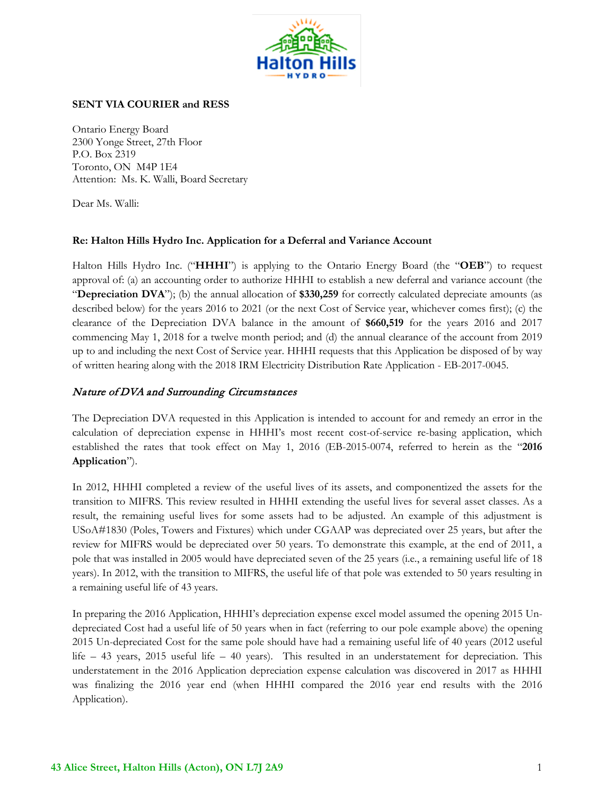

### **SENT VIA COURIER and RESS**

Ontario Energy Board 2300 Yonge Street, 27th Floor P.O. Box 2319 Toronto, ON M4P 1E4 Attention: Ms. K. Walli, Board Secretary

Dear Ms. Walli:

#### **Re: Halton Hills Hydro Inc. Application for a Deferral and Variance Account**

Halton Hills Hydro Inc. ("**HHHI**") is applying to the Ontario Energy Board (the "**OEB**") to request approval of: (a) an accounting order to authorize HHHI to establish a new deferral and variance account (the "**Depreciation DVA**"); (b) the annual allocation of **\$330,259** for correctly calculated depreciate amounts (as described below) for the years 2016 to 2021 (or the next Cost of Service year, whichever comes first); (c) the clearance of the Depreciation DVA balance in the amount of **\$660,519** for the years 2016 and 2017 commencing May 1, 2018 for a twelve month period; and (d) the annual clearance of the account from 2019 up to and including the next Cost of Service year. HHHI requests that this Application be disposed of by way of written hearing along with the 2018 IRM Electricity Distribution Rate Application - EB-2017-0045.

### Nature of DVA and Surrounding Circumstances

The Depreciation DVA requested in this Application is intended to account for and remedy an error in the calculation of depreciation expense in HHHI's most recent cost-of-service re-basing application, which established the rates that took effect on May 1, 2016 (EB-2015-0074, referred to herein as the "**2016 Application**").

In 2012, HHHI completed a review of the useful lives of its assets, and componentized the assets for the transition to MIFRS. This review resulted in HHHI extending the useful lives for several asset classes. As a result, the remaining useful lives for some assets had to be adjusted. An example of this adjustment is USoA#1830 (Poles, Towers and Fixtures) which under CGAAP was depreciated over 25 years, but after the review for MIFRS would be depreciated over 50 years. To demonstrate this example, at the end of 2011, a pole that was installed in 2005 would have depreciated seven of the 25 years (i.e., a remaining useful life of 18 years). In 2012, with the transition to MIFRS, the useful life of that pole was extended to 50 years resulting in a remaining useful life of 43 years.

In preparing the 2016 Application, HHHI's depreciation expense excel model assumed the opening 2015 Undepreciated Cost had a useful life of 50 years when in fact (referring to our pole example above) the opening 2015 Un-depreciated Cost for the same pole should have had a remaining useful life of 40 years (2012 useful life – 43 years, 2015 useful life – 40 years). This resulted in an understatement for depreciation. This understatement in the 2016 Application depreciation expense calculation was discovered in 2017 as HHHI was finalizing the 2016 year end (when HHHI compared the 2016 year end results with the 2016 Application).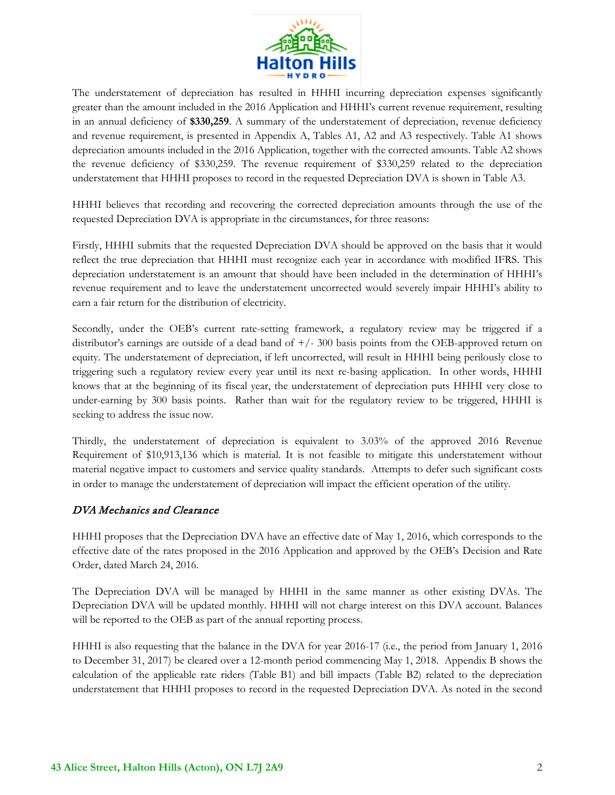

The understatement of depreciation has resulted in HHHI incurring depreciation expenses significantly greater than the amount included in the 2016 Application and HHHI's current revenue requirement, resulting in an annual deficiency of **\$330,259**. A summary of the understatement of depreciation, revenue deficiency and revenue requirement, is presented in Appendix A, Tables A1, A2 and A3 respectively. Table A1 shows depreciation amounts included in the 2016 Application, together with the corrected amounts. Table A2 shows the revenue deficiency of \$330,259. The revenue requirement of \$330,259 related to the depreciation understatement that HHHI proposes to record in the requested Depreciation DVA is shown in Table A3.

HHHI believes that recording and recovering the corrected depreciation amounts through the use of the requested Depreciation DVA is appropriate in the circumstances, for three reasons:

Firstly, HHHI submits that the requested Depreciation DVA should be approved on the basis that it would reflect the true depreciation that HHHI must recognize each year in accordance with modified IFRS. This depreciation understatement is an amount that should have been included in the determination of HHHI's revenue requirement and to leave the understatement uncorrected would severely impair HHHI's ability to earn a fair return for the distribution of electricity.

Secondly, under the OEB's current rate-setting framework, a regulatory review may be triggered if a distributor's earnings are outside of a dead band of  $+/-300$  basis points from the OEB-approved return on equity. The understatement of depreciation, if left uncorrected, will result in HHHI being perilously close to triggering such a regulatory review every year until its next re-basing application. In other words, HHHI knows that at the beginning of its fiscal year, the understatement of depreciation puts HHHI very close to under-earning by 300 basis points. Rather than wait for the regulatory review to be triggered, HHHI is seeking to address the issue now.

Thirdly, the understatement of depreciation is equivalent to 3.03% of the approved 2016 Revenue Requirement of \$10,913,136 which is material. It is not feasible to mitigate this understatement without material negative impact to customers and service quality standards. Attempts to defer such significant costs in order to manage the understatement of depreciation will impact the efficient operation of the utility.

### DVA Mechanics and Clearance

HHHI proposes that the Depreciation DVA have an effective date of May 1, 2016, which corresponds to the effective date of the rates proposed in the 2016 Application and approved by the OEB's Decision and Rate Order, dated March 24, 2016.

The Depreciation DVA will be managed by HHHI in the same manner as other existing DVAs. The Depreciation DVA will be updated monthly. HHHI will not charge interest on this DVA account. Balances will be reported to the OEB as part of the annual reporting process.

HHHI is also requesting that the balance in the DVA for year 2016-17 (i.e., the period from January 1, 2016 to December 31, 2017) be cleared over a 12-month period commencing May 1, 2018. Appendix B shows the calculation of the applicable rate riders (Table B1) and bill impacts (Table B2) related to the depreciation understatement that HHHI proposes to record in the requested Depreciation DVA. As noted in the second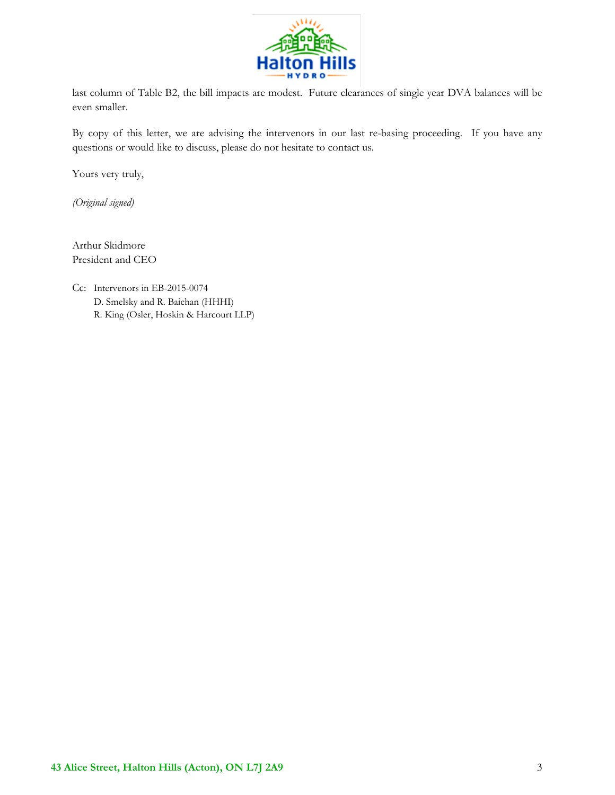

last column of Table B2, the bill impacts are modest. Future clearances of single year DVA balances will be even smaller.

By copy of this letter, we are advising the intervenors in our last re-basing proceeding. If you have any questions or would like to discuss, please do not hesitate to contact us.

Yours very truly,

*(Original signed)*

Arthur Skidmore President and CEO

Cc: Intervenors in EB-2015-0074 D. Smelsky and R. Baichan (HHHI) R. King (Osler, Hoskin & Harcourt LLP)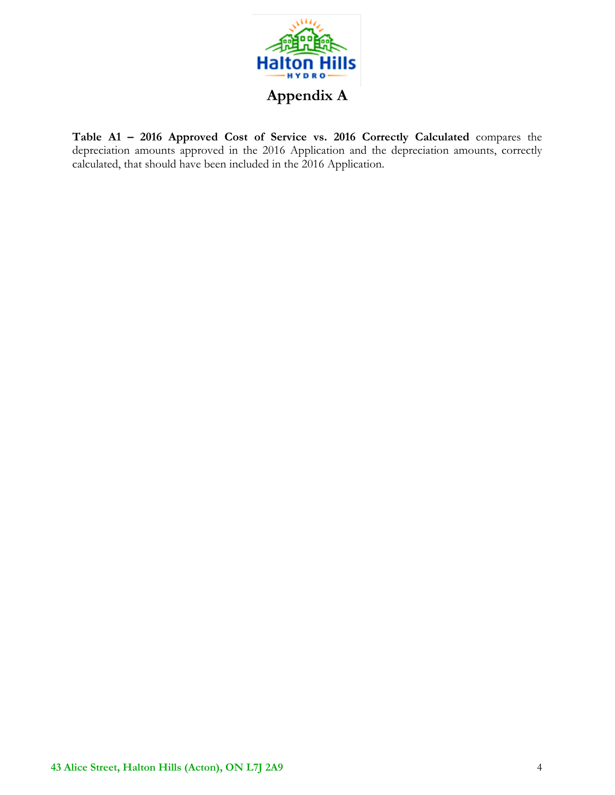

**Table A1 – 2016 Approved Cost of Service vs. 2016 Correctly Calculated** compares the depreciation amounts approved in the 2016 Application and the depreciation amounts, correctly calculated, that should have been included in the 2016 Application.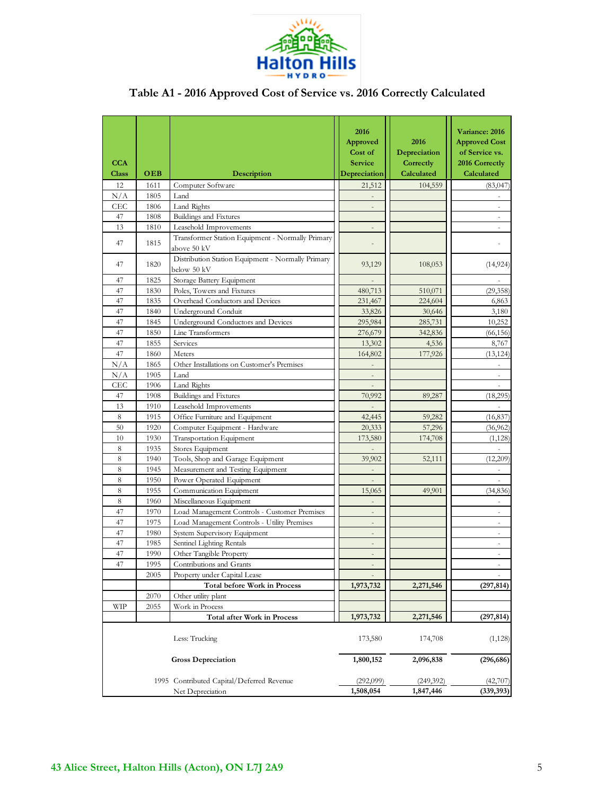

# **Table A1 - 2016 Approved Cost of Service vs. 2016 Correctly Calculated**

| <b>CCA</b><br><b>Class</b> | OEB  | Description                                                      | 2016<br>Approved<br>Cost of<br><b>Service</b><br>Depreciation | 2016<br>Depreciation<br>Correctly<br>Calculated | Variance: 2016<br><b>Approved Cost</b><br>of Service vs.<br>2016 Correctly<br>Calculated |
|----------------------------|------|------------------------------------------------------------------|---------------------------------------------------------------|-------------------------------------------------|------------------------------------------------------------------------------------------|
| 12                         | 1611 | Computer Software                                                | 21,512                                                        | 104,559                                         | (83,047)                                                                                 |
| N/A                        | 1805 | Land                                                             |                                                               |                                                 |                                                                                          |
| CEC                        | 1806 | Land Rights                                                      |                                                               |                                                 |                                                                                          |
| 47                         | 1808 | Buildings and Fixtures                                           |                                                               |                                                 | $\sim$                                                                                   |
| 13                         | 1810 | Leasehold Improvements                                           |                                                               |                                                 |                                                                                          |
| 47                         | 1815 | Transformer Station Equipment - Normally Primary<br>above 50 kV  |                                                               |                                                 |                                                                                          |
| 47                         | 1820 | Distribution Station Equipment - Normally Primary<br>below 50 kV | 93,129                                                        | 108,053                                         | (14, 924)                                                                                |
| 47                         | 1825 | Storage Battery Equipment                                        |                                                               |                                                 |                                                                                          |
| 47                         | 1830 | Poles, Towers and Fixtures                                       | 480,713                                                       | 510,071                                         | (29, 358)                                                                                |
| 47                         | 1835 | Overhead Conductors and Devices                                  | 231,467                                                       | 224,604                                         | 6,863                                                                                    |
| 47                         | 1840 | Underground Conduit                                              | 33,826                                                        | 30,646                                          | 3,180                                                                                    |
| 47                         | 1845 | Underground Conductors and Devices                               | 295,984                                                       | 285,731                                         | 10,252                                                                                   |
| 47                         | 1850 | Line Transformers                                                | 276,679                                                       | 342,836                                         | (66, 156)                                                                                |
| 47                         | 1855 | Services                                                         | 13,302                                                        | 4,536                                           | 8,767                                                                                    |
| 47                         | 1860 | Meters                                                           | 164,802                                                       | 177,926                                         | (13, 124)                                                                                |
| N/A                        | 1865 | Other Installations on Customer's Premises                       |                                                               |                                                 |                                                                                          |
| N/A                        | 1905 | Land                                                             | $\frac{1}{2}$                                                 |                                                 | L,                                                                                       |
| CEC                        | 1906 | Land Rights                                                      |                                                               |                                                 |                                                                                          |
| 47                         | 1908 | Buildings and Fixtures                                           | 70,992                                                        | 89,287                                          | (18,295)                                                                                 |
| 13                         | 1910 | Leasehold Improvements                                           |                                                               |                                                 |                                                                                          |
| $\,$ 8 $\,$                | 1915 | Office Furniture and Equipment                                   | 42,445                                                        | 59,282                                          | (16, 837)                                                                                |
| 50                         | 1920 | Computer Equipment - Hardware                                    | 20,333                                                        | 57,296                                          | (36, 962)                                                                                |
| 10                         | 1930 | Transportation Equipment                                         | 173,580                                                       | 174,708                                         | (1, 128)                                                                                 |
| $\,$ 8 $\,$                | 1935 | Stores Equipment                                                 |                                                               |                                                 |                                                                                          |
| $\,$ 8 $\,$                | 1940 | Tools, Shop and Garage Equipment                                 | 39,902                                                        | 52,111                                          | (12,209)                                                                                 |
| $\,$ 8 $\,$                | 1945 | Measurement and Testing Equipment                                | $\overline{a}$                                                |                                                 | $\qquad \qquad \blacksquare$                                                             |
| $\,$ 8 $\,$                | 1950 | Power Operated Equipment                                         |                                                               |                                                 |                                                                                          |
| $\,$ 8 $\,$                | 1955 | Communication Equipment                                          | 15,065                                                        | 49,901                                          | (34, 836)                                                                                |
| $\,$ 8 $\,$                | 1960 | Miscellaneous Equipment                                          |                                                               |                                                 |                                                                                          |
| 47                         | 1970 | Load Management Controls - Customer Premises                     | $\overline{a}$                                                |                                                 | $\bar{\phantom{a}}$                                                                      |
| 47                         | 1975 | Load Management Controls - Utility Premises                      |                                                               |                                                 |                                                                                          |
| 47                         | 1980 | System Supervisory Equipment                                     |                                                               |                                                 |                                                                                          |
| 47                         | 1985 | Sentinel Lighting Rentals                                        | ÷,                                                            |                                                 |                                                                                          |
| 47                         | 1990 | Other Tangible Property                                          | $\overline{a}$                                                |                                                 | ÷,                                                                                       |
| 47                         | 1995 | Contributions and Grants                                         |                                                               |                                                 |                                                                                          |
|                            | 2005 | Property under Capital Lease                                     |                                                               |                                                 |                                                                                          |
|                            |      | <b>Total before Work in Process</b>                              | 1,973,732                                                     | 2,271,546                                       | (297, 814)                                                                               |
|                            | 2070 | Other utility plant                                              |                                                               |                                                 |                                                                                          |
| <b>WIP</b>                 | 2055 | Work in Process                                                  |                                                               |                                                 |                                                                                          |
|                            |      | Total after Work in Process                                      | 1,973,732                                                     | 2,271,546                                       | (297, 814)                                                                               |
|                            |      | Less: Trucking                                                   | 173,580                                                       | 174,708                                         | (1,128)                                                                                  |
|                            |      | <b>Gross Depreciation</b>                                        | 1,800,152                                                     | 2,096,838                                       | (296, 686)                                                                               |
|                            |      | 1995 Contributed Capital/Deferred Revenue                        | (292,099)                                                     | (249,392)                                       | (42,707)                                                                                 |
|                            |      | Net Depreciation                                                 | 1,508,054                                                     | 1,847,446                                       | (339, 393)                                                                               |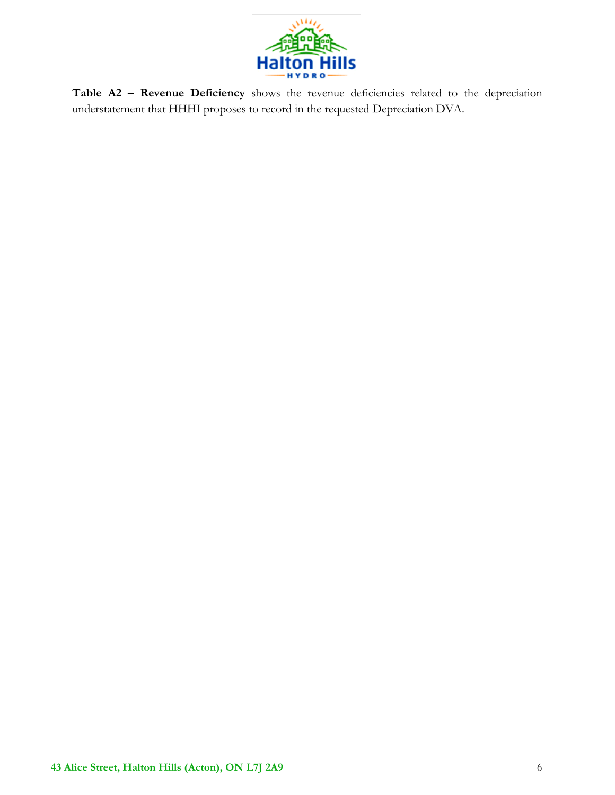

**Table A2 – Revenue Deficiency** shows the revenue deficiencies related to the depreciation understatement that HHHI proposes to record in the requested Depreciation DVA.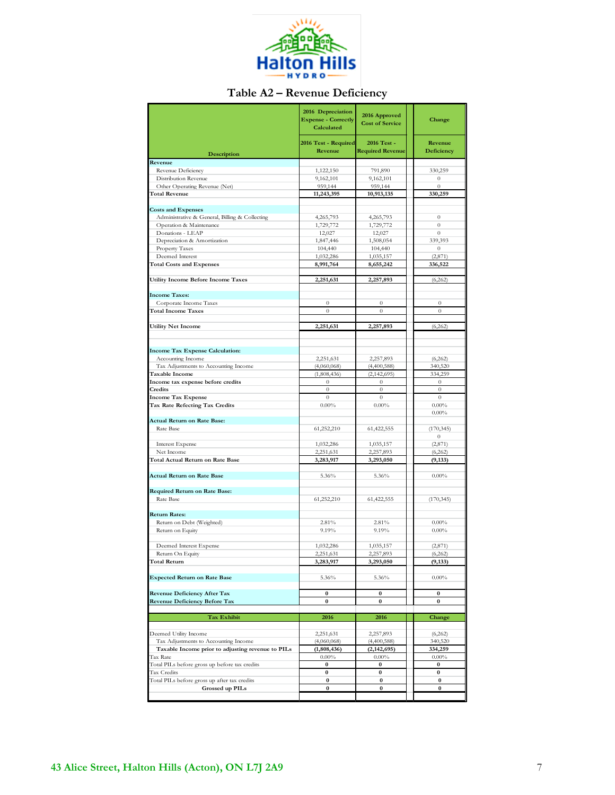

## **Table A2 – Revenue Deficiency**

|                                                               | 2016 Depreciation<br><b>Expense - Correctly</b><br>Calculated | 2016 Approved<br><b>Cost of Service</b> | Change                |
|---------------------------------------------------------------|---------------------------------------------------------------|-----------------------------------------|-----------------------|
| Description                                                   | 2016 Test - Required<br>Revenue                               | 2016 Test -<br><b>Required Revenue</b>  | Revenue<br>Deficiency |
| Revenue                                                       |                                                               |                                         |                       |
| Revenue Deficiency                                            | 1,122,150                                                     | 791,890                                 | 330,259               |
| Distribution Revenue                                          | 9,162,101                                                     | 9,162,101                               | $\boldsymbol{0}$      |
| Other Operating Revenue (Net)                                 | 959,144                                                       | 959,144                                 | $\boldsymbol{0}$      |
| <b>Total Revenue</b>                                          | 11,243,395                                                    | 10,913,135                              | 330,259               |
| <b>Costs and Expenses</b>                                     |                                                               |                                         |                       |
| Administrative & General, Billing & Collecting                | 4,265,793                                                     | 4,265,793                               | $\boldsymbol{0}$      |
| Operation & Maintenance                                       | 1,729,772                                                     | 1,729,772                               | $\overline{0}$        |
| Donations - LEAP                                              | 12,027                                                        | 12,027                                  | $\boldsymbol{0}$      |
| Depreciation & Amortization                                   | 1,847,446                                                     | 1,508,054                               | 339,393               |
| Property Taxes                                                | 104,440                                                       | 104,440                                 | $\boldsymbol{0}$      |
| Deemed Interest                                               | 1,032,286                                                     | 1,035,157                               | (2,871)               |
| <b>Total Costs and Expenses</b>                               | 8,991,764                                                     | 8,655,242                               | 336,522               |
| <b>Utility Income Before Income Taxes</b>                     | 2,251,631                                                     | 2,257,893                               | (6, 262)              |
| <b>Income Taxes:</b>                                          |                                                               |                                         |                       |
| Corporate Income Taxes                                        | $\theta$                                                      | $\boldsymbol{0}$                        | $\boldsymbol{0}$      |
| <b>Total Income Taxes</b>                                     | $\boldsymbol{0}$                                              | $\boldsymbol{0}$                        | $\boldsymbol{0}$      |
|                                                               |                                                               |                                         |                       |
| <b>Utility Net Income</b>                                     | 2,251,631                                                     | 2,257,893                               | (6,262)               |
|                                                               |                                                               |                                         |                       |
| <b>Income Tax Expense Calculation:</b>                        |                                                               |                                         |                       |
| Accounting Income                                             | 2,251,631                                                     | 2,257,893                               | (6,262)               |
| Tax Adjustments to Accounting Income                          | (4,060,068)                                                   | (4,400,588)                             | 340,520               |
| Taxable Income                                                | (1,808,436)                                                   | (2,142,695)                             | 334,259               |
| Income tax expense before credits                             | $\boldsymbol{0}$                                              | $\boldsymbol{0}$                        | $\boldsymbol{0}$      |
| Credits                                                       | $\theta$                                                      | $\overline{0}$                          | $\theta$              |
| <b>Income Tax Expense</b>                                     | $\theta$                                                      | $\theta$                                | $\theta$              |
| Tax Rate Refecting Tax Credits                                | $0.00\%$                                                      | $0.00\%$                                | $0.00\%$              |
| <b>Actual Return on Rate Base:</b>                            |                                                               |                                         | $0.00\%$              |
| Rate Base                                                     | 61,252,210                                                    | 61,422,555                              | (170, 345)            |
|                                                               |                                                               |                                         | $\boldsymbol{0}$      |
| <b>Interest Expense</b>                                       | 1,032,286                                                     | 1,035,157                               | (2,871)               |
| Net Income                                                    | 2,251,631                                                     | 2,257,893                               | (6,262)               |
| Total Actual Return on Rate Base                              | 3,283,917                                                     | 3,293,050                               | (9, 133)              |
| <b>Actual Return on Rate Base</b>                             | 5.36%                                                         | 5.36%                                   | $0.00\%$              |
|                                                               |                                                               |                                         |                       |
| <b>Required Return on Rate Base:</b>                          |                                                               |                                         |                       |
| Rate Base                                                     | 61,252,210                                                    | 61,422,555                              | (170, 345)            |
| <b>Return Rates:</b>                                          |                                                               |                                         |                       |
| Return on Debt (Weighted)                                     | 2.81%                                                         | 2.81%                                   | $0.00\%$              |
| Return on Equity                                              | 9.19%                                                         | 9.19%                                   | $0.00\%$              |
|                                                               |                                                               |                                         |                       |
| Deemed Interest Expense                                       | 1,032,286                                                     | 1,035,157                               | (2,871)               |
| Return On Equity                                              | 2,251,631                                                     | 2,257,893                               | (6, 262)              |
| <b>Total Return</b>                                           | 3,283,917                                                     | 3,293,050                               | (9, 133)              |
| <b>Expected Return on Rate Base</b>                           | 5.36%                                                         | 5.36%                                   | $0.00\%$              |
| <b>Revenue Deficiency After Tax</b>                           | 0                                                             | 0                                       | 0                     |
| <b>Revenue Deficiency Before Tax</b>                          | $\bf{0}$                                                      | 0                                       | $\bf{0}$              |
|                                                               |                                                               |                                         |                       |
| Tax Exhibit                                                   | 2016                                                          | 2016                                    | Change                |
|                                                               |                                                               |                                         |                       |
| Deemed Utility Income<br>Tax Adjustments to Accounting Income | 2,251,631<br>(4,060,068)                                      | 2,257,893<br>(4,400,588)                | (6,262)<br>340,520    |
| Taxable Income prior to adjusting revenue to PILs             | (1,808,436)                                                   | (2, 142, 695)                           | 334,259               |
| Tax Rate                                                      | $0.00\%$                                                      | $0.00\%$                                | $0.00\%$              |
| Total PILs before gross up before tax credits                 | 0                                                             | 0                                       | 0                     |
| Tax Credits                                                   | 0                                                             | 0                                       | 0                     |
| Total PILs before gross up after tax credits                  | $\bf{0}$                                                      | 0                                       | $\boldsymbol{0}$      |
| Grossed up PILs                                               | $\bf{0}$                                                      | $\boldsymbol{0}$                        | 0                     |
|                                                               |                                                               |                                         |                       |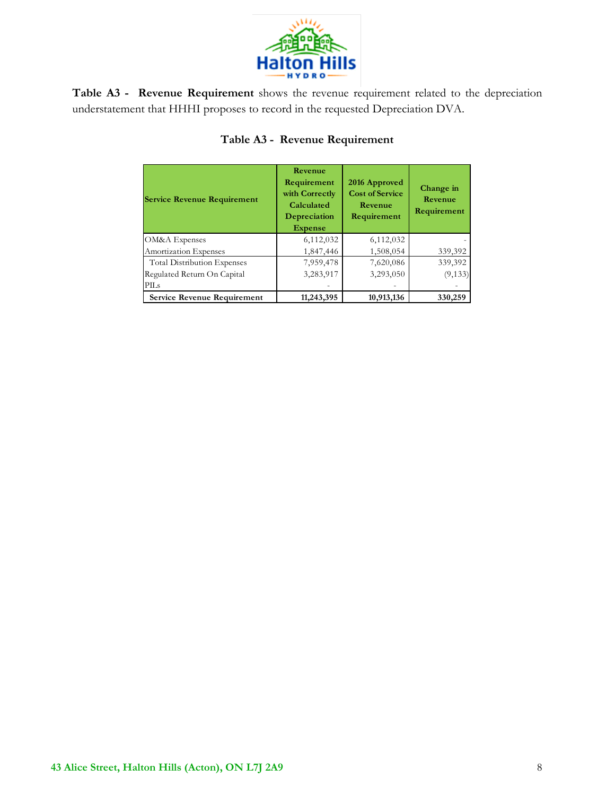

**Table A3 - Revenue Requirement** shows the revenue requirement related to the depreciation understatement that HHHI proposes to record in the requested Depreciation DVA.

| <b>Service Revenue Requirement</b> | Revenue<br>Requirement<br>with Correctly<br>Calculated<br>Depreciation<br><b>Expense</b> | 2016 Approved<br><b>Cost of Service</b><br>Revenue<br>Requirement | Change in<br>Revenue<br>Requirement |
|------------------------------------|------------------------------------------------------------------------------------------|-------------------------------------------------------------------|-------------------------------------|
| <b>OM&amp;A</b> Expenses           | 6,112,032                                                                                | 6,112,032                                                         |                                     |
| Amortization Expenses              | 1,847,446                                                                                | 1,508,054                                                         | 339,392                             |
| <b>Total Distribution Expenses</b> | 7,959,478                                                                                | 7,620,086                                                         | 339,392                             |
| Regulated Return On Capital        | 3,283,917                                                                                | 3,293,050                                                         | (9, 133)                            |
| PILs                               |                                                                                          |                                                                   |                                     |
| <b>Service Revenue Requirement</b> | 11,243,395                                                                               | 10,913,136                                                        | 330,259                             |

## **Table A3 - Revenue Requirement**